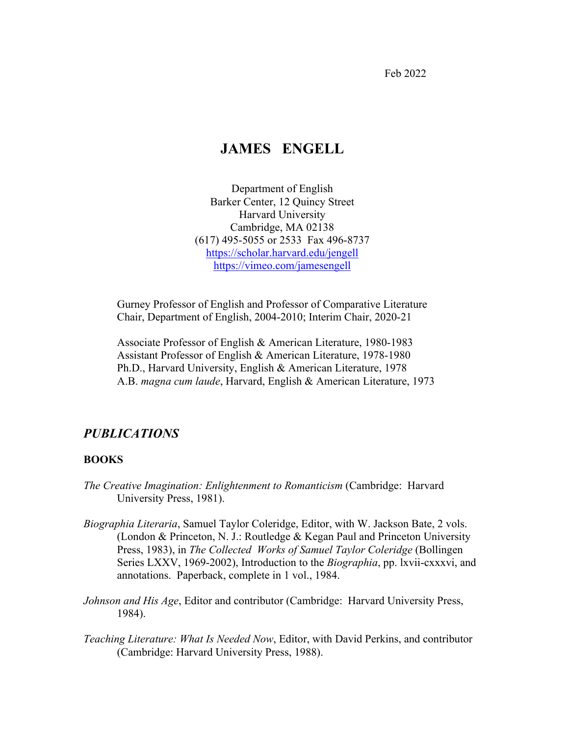Feb 2022

# **JAMES ENGELL**

Department of English Barker Center, 12 Quincy Street Harvard University Cambridge, MA 02138 (617) 495-5055 or 2533 Fax 496-8737 https://scholar.harvard.edu/jengell https://vimeo.com/jamesengell

Gurney Professor of English and Professor of Comparative Literature Chair, Department of English, 2004-2010; Interim Chair, 2020-21

Associate Professor of English & American Literature, 1980-1983 Assistant Professor of English & American Literature, 1978-1980 Ph.D., Harvard University, English & American Literature, 1978 A.B. *magna cum laude*, Harvard, English & American Literature, 1973

## *PUBLICATIONS*

### **BOOKS**

- *The Creative Imagination: Enlightenment to Romanticism* (Cambridge: Harvard University Press, 1981).
- *Biographia Literaria*, Samuel Taylor Coleridge, Editor, with W. Jackson Bate, 2 vols. (London & Princeton, N. J.: Routledge & Kegan Paul and Princeton University Press, 1983), in *The Collected Works of Samuel Taylor Coleridge* (Bollingen Series LXXV, 1969-2002), Introduction to the *Biographia*, pp. lxvii-cxxxvi, and annotations. Paperback, complete in 1 vol., 1984.
- *Johnson and His Age*, Editor and contributor (Cambridge: Harvard University Press, 1984).
- *Teaching Literature: What Is Needed Now*, Editor, with David Perkins, and contributor (Cambridge: Harvard University Press, 1988).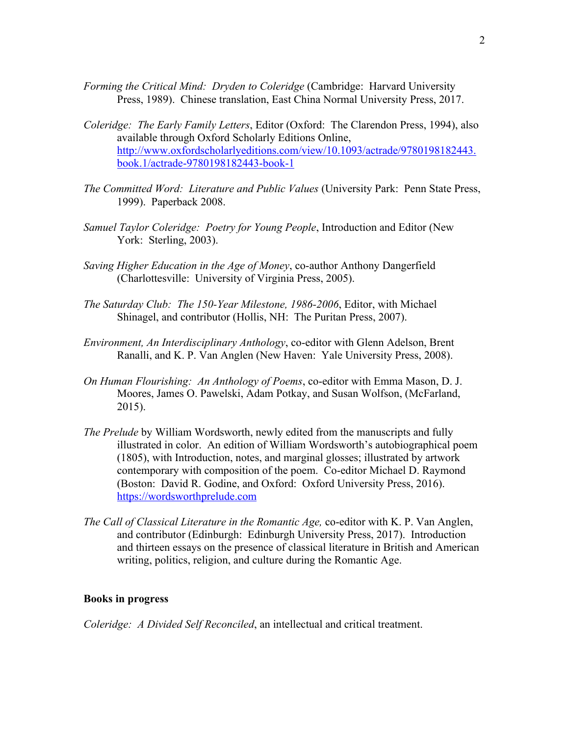- *Forming the Critical Mind: Dryden to Coleridge* (Cambridge: Harvard University Press, 1989). Chinese translation, East China Normal University Press, 2017.
- *Coleridge: The Early Family Letters*, Editor (Oxford: The Clarendon Press, 1994), also available through Oxford Scholarly Editions Online, http://www.oxfordscholarlyeditions.com/view/10.1093/actrade/9780198182443. book.1/actrade-9780198182443-book-1
- *The Committed Word: Literature and Public Values* (University Park: Penn State Press, 1999). Paperback 2008.
- *Samuel Taylor Coleridge: Poetry for Young People*, Introduction and Editor (New York: Sterling, 2003).
- *Saving Higher Education in the Age of Money*, co-author Anthony Dangerfield (Charlottesville: University of Virginia Press, 2005).
- *The Saturday Club: The 150-Year Milestone, 1986-2006*, Editor, with Michael Shinagel, and contributor (Hollis, NH: The Puritan Press, 2007).
- *Environment, An Interdisciplinary Anthology*, co-editor with Glenn Adelson, Brent Ranalli, and K. P. Van Anglen (New Haven: Yale University Press, 2008).
- *On Human Flourishing: An Anthology of Poems*, co-editor with Emma Mason, D. J. Moores, James O. Pawelski, Adam Potkay, and Susan Wolfson, (McFarland, 2015).
- *The Prelude* by William Wordsworth, newly edited from the manuscripts and fully illustrated in color. An edition of William Wordsworth's autobiographical poem (1805), with Introduction, notes, and marginal glosses; illustrated by artwork contemporary with composition of the poem. Co-editor Michael D. Raymond (Boston: David R. Godine, and Oxford: Oxford University Press, 2016). https://wordsworthprelude.com
- *The Call of Classical Literature in the Romantic Age,* co-editor with K. P. Van Anglen, and contributor (Edinburgh: Edinburgh University Press, 2017). Introduction and thirteen essays on the presence of classical literature in British and American writing, politics, religion, and culture during the Romantic Age.

#### **Books in progress**

*Coleridge: A Divided Self Reconciled*, an intellectual and critical treatment.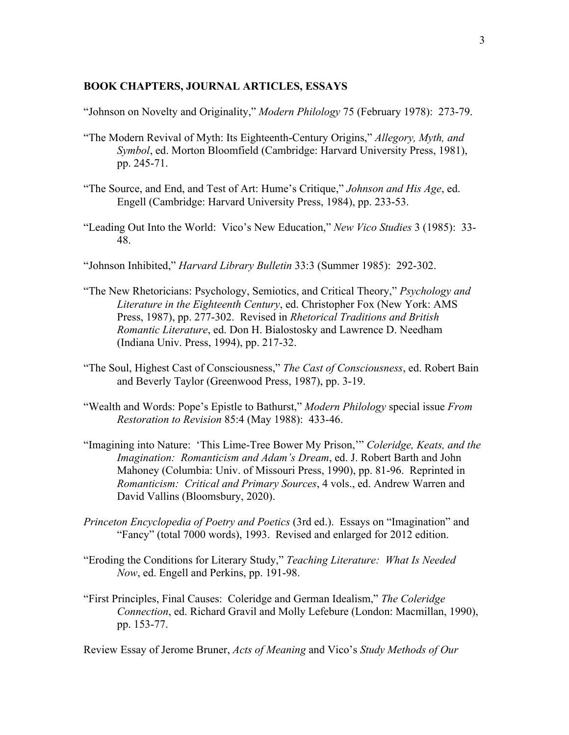#### **BOOK CHAPTERS, JOURNAL ARTICLES, ESSAYS**

"Johnson on Novelty and Originality," *Modern Philology* 75 (February 1978): 273-79.

- "The Modern Revival of Myth: Its Eighteenth-Century Origins," *Allegory, Myth, and Symbol*, ed. Morton Bloomfield (Cambridge: Harvard University Press, 1981), pp. 245-71.
- "The Source, and End, and Test of Art: Hume's Critique," *Johnson and His Age*, ed. Engell (Cambridge: Harvard University Press, 1984), pp. 233-53.
- "Leading Out Into the World: Vico's New Education," *New Vico Studies* 3 (1985): 33- 48.
- "Johnson Inhibited," *Harvard Library Bulletin* 33:3 (Summer 1985): 292-302.
- "The New Rhetoricians: Psychology, Semiotics, and Critical Theory," *Psychology and Literature in the Eighteenth Century*, ed. Christopher Fox (New York: AMS Press, 1987), pp. 277-302. Revised in *Rhetorical Traditions and British Romantic Literature*, ed. Don H. Bialostosky and Lawrence D. Needham (Indiana Univ. Press, 1994), pp. 217-32.
- "The Soul, Highest Cast of Consciousness," *The Cast of Consciousness*, ed. Robert Bain and Beverly Taylor (Greenwood Press, 1987), pp. 3-19.
- "Wealth and Words: Pope's Epistle to Bathurst," *Modern Philology* special issue *From Restoration to Revision* 85:4 (May 1988): 433-46.
- "Imagining into Nature: 'This Lime-Tree Bower My Prison,'" *Coleridge, Keats, and the Imagination: Romanticism and Adam's Dream*, ed. J. Robert Barth and John Mahoney (Columbia: Univ. of Missouri Press, 1990), pp. 81-96. Reprinted in *Romanticism: Critical and Primary Sources*, 4 vols., ed. Andrew Warren and David Vallins (Bloomsbury, 2020).
- *Princeton Encyclopedia of Poetry and Poetics* (3rd ed.). Essays on "Imagination" and "Fancy" (total 7000 words), 1993. Revised and enlarged for 2012 edition.
- "Eroding the Conditions for Literary Study," *Teaching Literature: What Is Needed Now*, ed. Engell and Perkins, pp. 191-98.
- "First Principles, Final Causes: Coleridge and German Idealism," *The Coleridge Connection*, ed. Richard Gravil and Molly Lefebure (London: Macmillan, 1990), pp. 153-77.

Review Essay of Jerome Bruner, *Acts of Meaning* and Vico's *Study Methods of Our*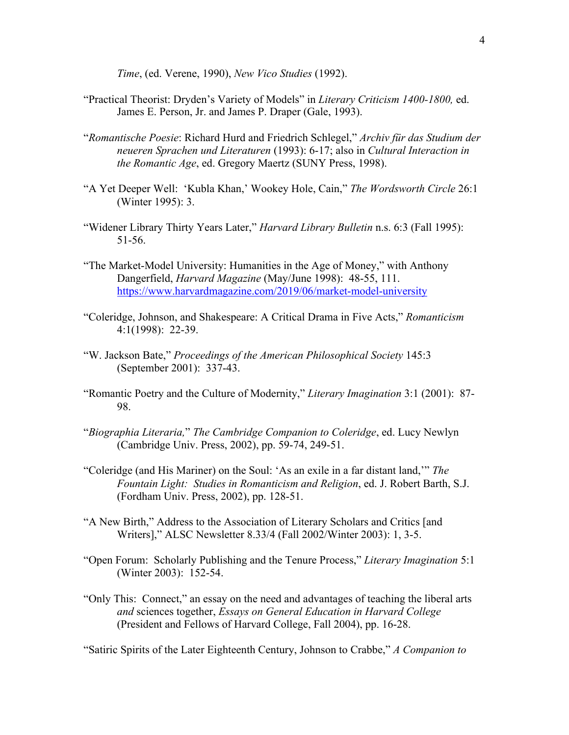*Time*, (ed. Verene, 1990), *New Vico Studies* (1992).

- "Practical Theorist: Dryden's Variety of Models" in *Literary Criticism 1400-1800,* ed. James E. Person, Jr. and James P. Draper (Gale, 1993).
- "*Romantische Poesie*: Richard Hurd and Friedrich Schlegel," *Archiv für das Studium der neueren Sprachen und Literaturen* (1993): 6-17; also in *Cultural Interaction in the Romantic Age*, ed. Gregory Maertz (SUNY Press, 1998).
- "A Yet Deeper Well: 'Kubla Khan,' Wookey Hole, Cain," *The Wordsworth Circle* 26:1 (Winter 1995): 3.
- "Widener Library Thirty Years Later," *Harvard Library Bulletin* n.s. 6:3 (Fall 1995): 51-56.
- "The Market-Model University: Humanities in the Age of Money," with Anthony Dangerfield, *Harvard Magazine* (May/June 1998): 48-55, 111. https://www.harvardmagazine.com/2019/06/market-model-university
- "Coleridge, Johnson, and Shakespeare: A Critical Drama in Five Acts," *Romanticism* 4:1(1998): 22-39.
- "W. Jackson Bate," *Proceedings of the American Philosophical Society* 145:3 (September 2001): 337-43.
- "Romantic Poetry and the Culture of Modernity," *Literary Imagination* 3:1 (2001): 87- 98.
- "*Biographia Literaria,*" *The Cambridge Companion to Coleridge*, ed. Lucy Newlyn (Cambridge Univ. Press, 2002), pp. 59-74, 249-51.
- "Coleridge (and His Mariner) on the Soul: 'As an exile in a far distant land,'" *The Fountain Light: Studies in Romanticism and Religion*, ed. J. Robert Barth, S.J. (Fordham Univ. Press, 2002), pp. 128-51.
- "A New Birth," Address to the Association of Literary Scholars and Critics [and Writers]," ALSC Newsletter 8.33/4 (Fall 2002/Winter 2003): 1, 3-5.
- "Open Forum: Scholarly Publishing and the Tenure Process," *Literary Imagination* 5:1 (Winter 2003): 152-54.
- "Only This: Connect," an essay on the need and advantages of teaching the liberal arts *and* sciences together, *Essays on General Education in Harvard College* (President and Fellows of Harvard College, Fall 2004), pp. 16-28.

"Satiric Spirits of the Later Eighteenth Century, Johnson to Crabbe," *A Companion to*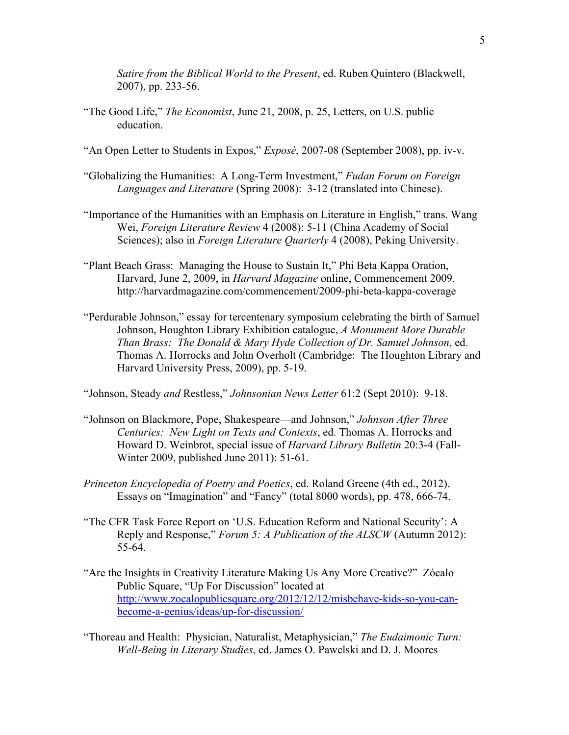*Satire from the Biblical World to the Present*, ed. Ruben Quintero (Blackwell, 2007), pp. 233-56.

- "The Good Life," *The Economist*, June 21, 2008, p. 25, Letters, on U.S. public education.
- "An Open Letter to Students in Expos," *Exposé*, 2007-08 (September 2008), pp. iv-v.
- "Globalizing the Humanities: A Long-Term Investment," *Fudan Forum on Foreign Languages and Literature* (Spring 2008): 3-12 (translated into Chinese).
- "Importance of the Humanities with an Emphasis on Literature in English," trans. Wang Wei, *Foreign Literature Review* 4 (2008): 5-11 (China Academy of Social Sciences); also in *Foreign Literature Quarterly* 4 (2008), Peking University.
- "Plant Beach Grass: Managing the House to Sustain It," Phi Beta Kappa Oration, Harvard, June 2, 2009, in *Harvard Magazine* online, Commencement 2009. http://harvardmagazine.com/commencement/2009-phi-beta-kappa-coverage
- "Perdurable Johnson," essay for tercentenary symposium celebrating the birth of Samuel Johnson, Houghton Library Exhibition catalogue, *A Monument More Durable Than Brass: The Donald & Mary Hyde Collection of Dr. Samuel Johnson*, ed. Thomas A. Horrocks and John Overholt (Cambridge: The Houghton Library and Harvard University Press, 2009), pp. 5-19.

"Johnson, Steady *and* Restless," *Johnsonian News Letter* 61:2 (Sept 2010): 9-18.

- "Johnson on Blackmore, Pope, Shakespeare—and Johnson," *Johnson After Three Centuries: New Light on Texts and Contexts*, ed. Thomas A. Horrocks and Howard D. Weinbrot, special issue of *Harvard Library Bulletin* 20:3-4 (Fall-Winter 2009, published June 2011): 51-61.
- *Princeton Encyclopedia of Poetry and Poetics*, ed. Roland Greene (4th ed., 2012). Essays on "Imagination" and "Fancy" (total 8000 words), pp. 478, 666-74.
- "The CFR Task Force Report on 'U.S. Education Reform and National Security': A Reply and Response," *Forum 5: A Publication of the ALSCW* (Autumn 2012): 55-64.
- "Are the Insights in Creativity Literature Making Us Any More Creative?" Zócalo Public Square, "Up For Discussion" located at http://www.zocalopublicsquare.org/2012/12/12/misbehave-kids-so-you-canbecome-a-genius/ideas/up-for-discussion/
- "Thoreau and Health: Physician, Naturalist, Metaphysician," *The Eudaimonic Turn: Well-Being in Literary Studies*, ed. James O. Pawelski and D. J. Moores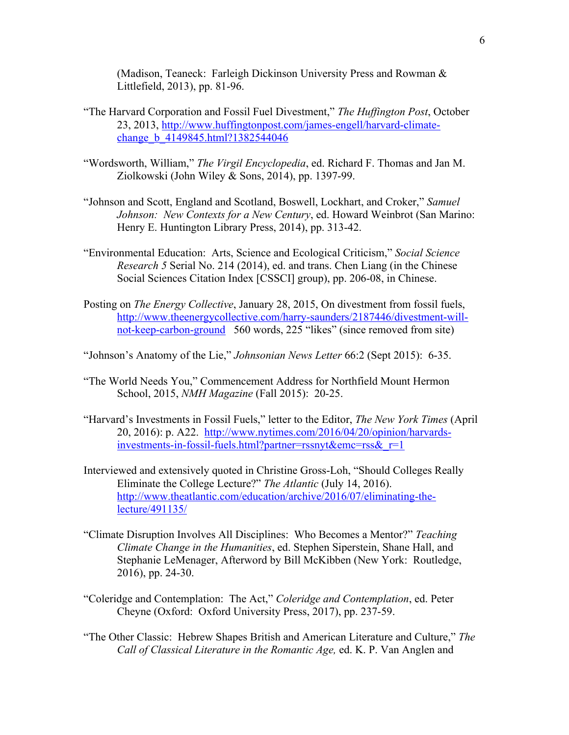(Madison, Teaneck: Farleigh Dickinson University Press and Rowman & Littlefield, 2013), pp. 81-96.

- "The Harvard Corporation and Fossil Fuel Divestment," *The Huffington Post*, October 23, 2013, http://www.huffingtonpost.com/james-engell/harvard-climatechange b 4149845.html?1382544046
- "Wordsworth, William," *The Virgil Encyclopedia*, ed. Richard F. Thomas and Jan M. Ziolkowski (John Wiley & Sons, 2014), pp. 1397-99.
- "Johnson and Scott, England and Scotland, Boswell, Lockhart, and Croker," *Samuel Johnson: New Contexts for a New Century*, ed. Howard Weinbrot (San Marino: Henry E. Huntington Library Press, 2014), pp. 313-42.
- "Environmental Education: Arts, Science and Ecological Criticism," *Social Science Research 5* Serial No. 214 (2014), ed. and trans. Chen Liang (in the Chinese Social Sciences Citation Index [CSSCI] group), pp. 206-08, in Chinese.
- Posting on *The Energy Collective*, January 28, 2015, On divestment from fossil fuels, http://www.theenergycollective.com/harry-saunders/2187446/divestment-willnot-keep-carbon-ground 560 words, 225 "likes" (since removed from site)

"Johnson's Anatomy of the Lie," *Johnsonian News Letter* 66:2 (Sept 2015): 6-35.

- "The World Needs You," Commencement Address for Northfield Mount Hermon School, 2015, *NMH Magazine* (Fall 2015): 20-25.
- "Harvard's Investments in Fossil Fuels," letter to the Editor, *The New York Times* (April 20, 2016): p. A22. http://www.nytimes.com/2016/04/20/opinion/harvardsinvestments-in-fossil-fuels.html?partner=rssnyt&emc=rss&\_r=1
- Interviewed and extensively quoted in Christine Gross-Loh, "Should Colleges Really Eliminate the College Lecture?" *The Atlantic* (July 14, 2016). http://www.theatlantic.com/education/archive/2016/07/eliminating-thelecture/491135/
- "Climate Disruption Involves All Disciplines: Who Becomes a Mentor?" *Teaching Climate Change in the Humanities*, ed. Stephen Siperstein, Shane Hall, and Stephanie LeMenager, Afterword by Bill McKibben (New York: Routledge, 2016), pp. 24-30.
- "Coleridge and Contemplation: The Act," *Coleridge and Contemplation*, ed. Peter Cheyne (Oxford: Oxford University Press, 2017), pp. 237-59.
- "The Other Classic: Hebrew Shapes British and American Literature and Culture," *The Call of Classical Literature in the Romantic Age,* ed. K. P. Van Anglen and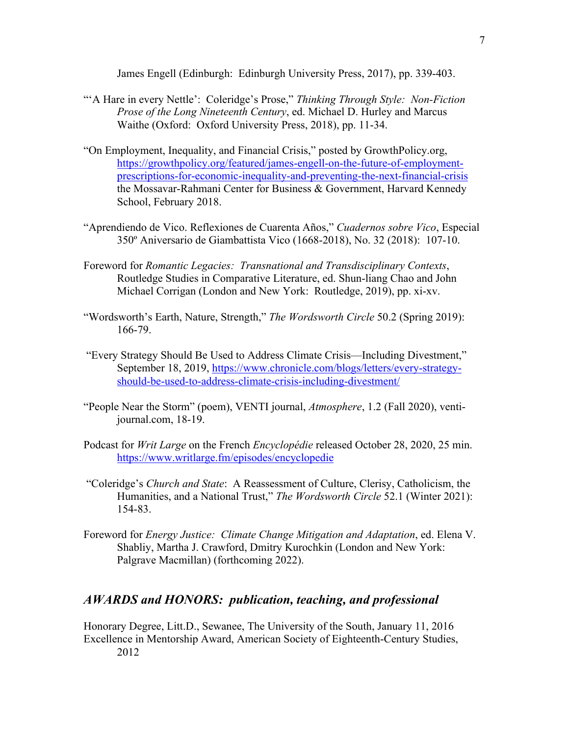James Engell (Edinburgh: Edinburgh University Press, 2017), pp. 339-403.

- "'A Hare in every Nettle': Coleridge's Prose," *Thinking Through Style: Non-Fiction Prose of the Long Nineteenth Century*, ed. Michael D. Hurley and Marcus Waithe (Oxford: Oxford University Press, 2018), pp. 11-34.
- "On Employment, Inequality, and Financial Crisis," posted by GrowthPolicy.org, https://growthpolicy.org/featured/james-engell-on-the-future-of-employmentprescriptions-for-economic-inequality-and-preventing-the-next-financial-crisis the Mossavar-Rahmani Center for Business & Government, Harvard Kennedy School, February 2018.
- "Aprendiendo de Vico. Reflexiones de Cuarenta Años," *Cuadernos sobre Vico*, Especial 350º Aniversario de Giambattista Vico (1668-2018), No. 32 (2018): 107-10.
- Foreword for *Romantic Legacies: Transnational and Transdisciplinary Contexts*, Routledge Studies in Comparative Literature, ed. Shun-liang Chao and John Michael Corrigan (London and New York: Routledge, 2019), pp. xi-xv.
- "Wordsworth's Earth, Nature, Strength," *The Wordsworth Circle* 50.2 (Spring 2019): 166-79.
- "Every Strategy Should Be Used to Address Climate Crisis—Including Divestment," September 18, 2019, https://www.chronicle.com/blogs/letters/every-strategyshould-be-used-to-address-climate-crisis-including-divestment/
- "People Near the Storm" (poem), VENTI journal, *Atmosphere*, 1.2 (Fall 2020), ventijournal.com, 18-19.
- Podcast for *Writ Large* on the French *Encyclopédie* released October 28, 2020, 25 min. https://www.writlarge.fm/episodes/encyclopedie
- "Coleridge's *Church and State*: A Reassessment of Culture, Clerisy, Catholicism, the Humanities, and a National Trust," *The Wordsworth Circle* 52.1 (Winter 2021): 154-83.
- Foreword for *Energy Justice: Climate Change Mitigation and Adaptation*, ed. Elena V. Shabliy, Martha J. Crawford, Dmitry Kurochkin (London and New York: Palgrave Macmillan) (forthcoming 2022).

# *AWARDS and HONORS: publication, teaching, and professional*

Honorary Degree, Litt.D., Sewanee, The University of the South, January 11, 2016 Excellence in Mentorship Award, American Society of Eighteenth-Century Studies, 2012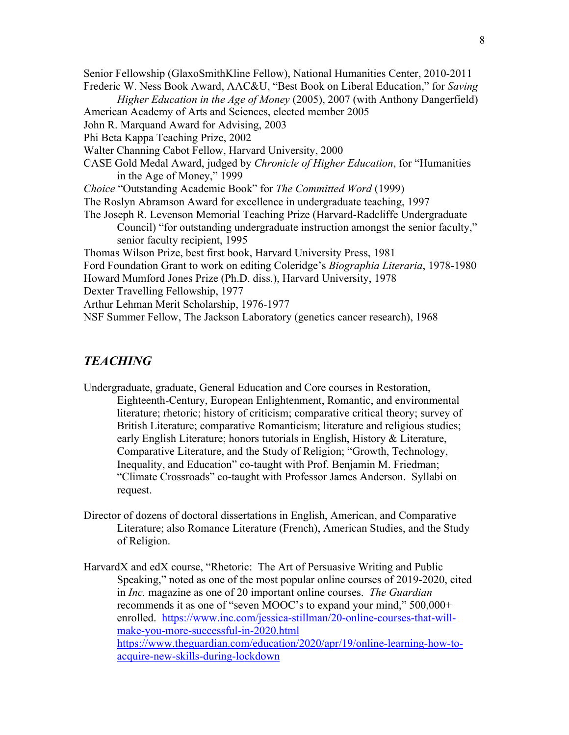Senior Fellowship (GlaxoSmithKline Fellow), National Humanities Center, 2010-2011 Frederic W. Ness Book Award, AAC&U, "Best Book on Liberal Education," for *Saving Higher Education in the Age of Money* (2005), 2007 (with Anthony Dangerfield) American Academy of Arts and Sciences, elected member 2005 John R. Marquand Award for Advising, 2003 Phi Beta Kappa Teaching Prize, 2002 Walter Channing Cabot Fellow, Harvard University, 2000 CASE Gold Medal Award, judged by *Chronicle of Higher Education*, for "Humanities in the Age of Money," 1999 *Choice* "Outstanding Academic Book" for *The Committed Word* (1999) The Roslyn Abramson Award for excellence in undergraduate teaching, 1997 The Joseph R. Levenson Memorial Teaching Prize (Harvard-Radcliffe Undergraduate Council) "for outstanding undergraduate instruction amongst the senior faculty," senior faculty recipient, 1995 Thomas Wilson Prize, best first book, Harvard University Press, 1981 Ford Foundation Grant to work on editing Coleridge's *Biographia Literaria*, 1978-1980 Howard Mumford Jones Prize (Ph.D. diss.), Harvard University, 1978 Dexter Travelling Fellowship, 1977 Arthur Lehman Merit Scholarship, 1976-1977 NSF Summer Fellow, The Jackson Laboratory (genetics cancer research), 1968

### *TEACHING*

- Undergraduate, graduate, General Education and Core courses in Restoration, Eighteenth-Century, European Enlightenment, Romantic, and environmental literature; rhetoric; history of criticism; comparative critical theory; survey of British Literature; comparative Romanticism; literature and religious studies; early English Literature; honors tutorials in English, History & Literature, Comparative Literature, and the Study of Religion; "Growth, Technology, Inequality, and Education" co-taught with Prof. Benjamin M. Friedman; "Climate Crossroads" co-taught with Professor James Anderson. Syllabi on request.
- Director of dozens of doctoral dissertations in English, American, and Comparative Literature; also Romance Literature (French), American Studies, and the Study of Religion.
- HarvardX and edX course, "Rhetoric: The Art of Persuasive Writing and Public Speaking," noted as one of the most popular online courses of 2019-2020, cited in *Inc.* magazine as one of 20 important online courses. *The Guardian* recommends it as one of "seven MOOC's to expand your mind," 500,000+ enrolled. https://www.inc.com/jessica-stillman/20-online-courses-that-willmake-you-more-successful-in-2020.html https://www.theguardian.com/education/2020/apr/19/online-learning-how-toacquire-new-skills-during-lockdown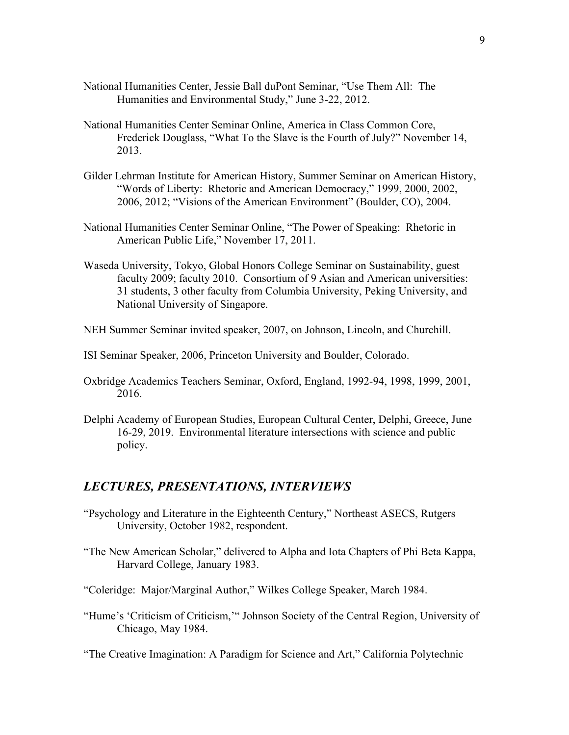- National Humanities Center, Jessie Ball duPont Seminar, "Use Them All: The Humanities and Environmental Study," June 3-22, 2012.
- National Humanities Center Seminar Online, America in Class Common Core, Frederick Douglass, "What To the Slave is the Fourth of July?" November 14, 2013.
- Gilder Lehrman Institute for American History, Summer Seminar on American History, "Words of Liberty: Rhetoric and American Democracy," 1999, 2000, 2002, 2006, 2012; "Visions of the American Environment" (Boulder, CO), 2004.
- National Humanities Center Seminar Online, "The Power of Speaking: Rhetoric in American Public Life," November 17, 2011.
- Waseda University, Tokyo, Global Honors College Seminar on Sustainability, guest faculty 2009; faculty 2010. Consortium of 9 Asian and American universities: 31 students, 3 other faculty from Columbia University, Peking University, and National University of Singapore.
- NEH Summer Seminar invited speaker, 2007, on Johnson, Lincoln, and Churchill.
- ISI Seminar Speaker, 2006, Princeton University and Boulder, Colorado.
- Oxbridge Academics Teachers Seminar, Oxford, England, 1992-94, 1998, 1999, 2001, 2016.
- Delphi Academy of European Studies, European Cultural Center, Delphi, Greece, June 16-29, 2019. Environmental literature intersections with science and public policy.

### *LECTURES, PRESENTATIONS, INTERVIEWS*

- "Psychology and Literature in the Eighteenth Century," Northeast ASECS, Rutgers University, October 1982, respondent.
- "The New American Scholar," delivered to Alpha and Iota Chapters of Phi Beta Kappa, Harvard College, January 1983.
- "Coleridge: Major/Marginal Author," Wilkes College Speaker, March 1984.
- "Hume's 'Criticism of Criticism,'" Johnson Society of the Central Region, University of Chicago, May 1984.

"The Creative Imagination: A Paradigm for Science and Art," California Polytechnic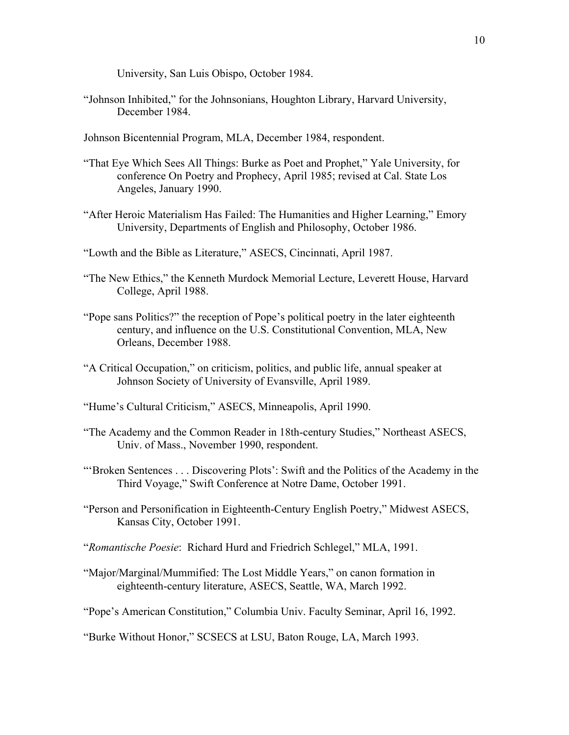University, San Luis Obispo, October 1984.

- "Johnson Inhibited," for the Johnsonians, Houghton Library, Harvard University, December 1984.
- Johnson Bicentennial Program, MLA, December 1984, respondent.
- "That Eye Which Sees All Things: Burke as Poet and Prophet," Yale University, for conference On Poetry and Prophecy, April 1985; revised at Cal. State Los Angeles, January 1990.
- "After Heroic Materialism Has Failed: The Humanities and Higher Learning," Emory University, Departments of English and Philosophy, October 1986.
- "Lowth and the Bible as Literature," ASECS, Cincinnati, April 1987.
- "The New Ethics," the Kenneth Murdock Memorial Lecture, Leverett House, Harvard College, April 1988.
- "Pope sans Politics?" the reception of Pope's political poetry in the later eighteenth century, and influence on the U.S. Constitutional Convention, MLA, New Orleans, December 1988.
- "A Critical Occupation," on criticism, politics, and public life, annual speaker at Johnson Society of University of Evansville, April 1989.
- "Hume's Cultural Criticism," ASECS, Minneapolis, April 1990.
- "The Academy and the Common Reader in 18th-century Studies," Northeast ASECS, Univ. of Mass., November 1990, respondent.
- "'Broken Sentences . . . Discovering Plots': Swift and the Politics of the Academy in the Third Voyage," Swift Conference at Notre Dame, October 1991.
- "Person and Personification in Eighteenth-Century English Poetry," Midwest ASECS, Kansas City, October 1991.
- "*Romantische Poesie*: Richard Hurd and Friedrich Schlegel," MLA, 1991.
- "Major/Marginal/Mummified: The Lost Middle Years," on canon formation in eighteenth-century literature, ASECS, Seattle, WA, March 1992.
- "Pope's American Constitution," Columbia Univ. Faculty Seminar, April 16, 1992.

"Burke Without Honor," SCSECS at LSU, Baton Rouge, LA, March 1993.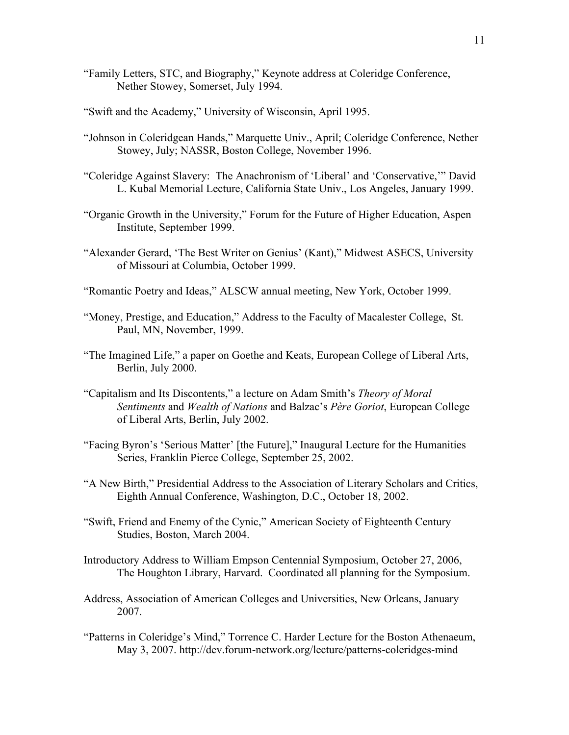- "Family Letters, STC, and Biography," Keynote address at Coleridge Conference, Nether Stowey, Somerset, July 1994.
- "Swift and the Academy," University of Wisconsin, April 1995.
- "Johnson in Coleridgean Hands," Marquette Univ., April; Coleridge Conference, Nether Stowey, July; NASSR, Boston College, November 1996.
- "Coleridge Against Slavery: The Anachronism of 'Liberal' and 'Conservative,'" David L. Kubal Memorial Lecture, California State Univ., Los Angeles, January 1999.
- "Organic Growth in the University," Forum for the Future of Higher Education, Aspen Institute, September 1999.
- "Alexander Gerard, 'The Best Writer on Genius' (Kant)," Midwest ASECS, University of Missouri at Columbia, October 1999.
- "Romantic Poetry and Ideas," ALSCW annual meeting, New York, October 1999.
- "Money, Prestige, and Education," Address to the Faculty of Macalester College, St. Paul, MN, November, 1999.
- "The Imagined Life," a paper on Goethe and Keats, European College of Liberal Arts, Berlin, July 2000.
- "Capitalism and Its Discontents," a lecture on Adam Smith's *Theory of Moral Sentiments* and *Wealth of Nations* and Balzac's *Père Goriot*, European College of Liberal Arts, Berlin, July 2002.
- "Facing Byron's 'Serious Matter' [the Future]," Inaugural Lecture for the Humanities Series, Franklin Pierce College, September 25, 2002.
- "A New Birth," Presidential Address to the Association of Literary Scholars and Critics, Eighth Annual Conference, Washington, D.C., October 18, 2002.
- "Swift, Friend and Enemy of the Cynic," American Society of Eighteenth Century Studies, Boston, March 2004.
- Introductory Address to William Empson Centennial Symposium, October 27, 2006, The Houghton Library, Harvard. Coordinated all planning for the Symposium.
- Address, Association of American Colleges and Universities, New Orleans, January 2007.
- "Patterns in Coleridge's Mind," Torrence C. Harder Lecture for the Boston Athenaeum, May 3, 2007. http://dev.forum-network.org/lecture/patterns-coleridges-mind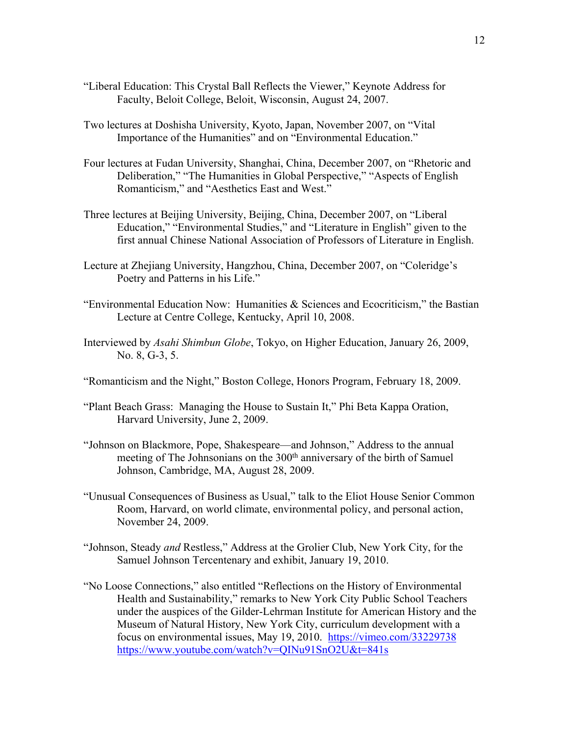- "Liberal Education: This Crystal Ball Reflects the Viewer," Keynote Address for Faculty, Beloit College, Beloit, Wisconsin, August 24, 2007.
- Two lectures at Doshisha University, Kyoto, Japan, November 2007, on "Vital Importance of the Humanities" and on "Environmental Education."
- Four lectures at Fudan University, Shanghai, China, December 2007, on "Rhetoric and Deliberation," "The Humanities in Global Perspective," "Aspects of English Romanticism," and "Aesthetics East and West."
- Three lectures at Beijing University, Beijing, China, December 2007, on "Liberal Education," "Environmental Studies," and "Literature in English" given to the first annual Chinese National Association of Professors of Literature in English.
- Lecture at Zhejiang University, Hangzhou, China, December 2007, on "Coleridge's Poetry and Patterns in his Life."
- "Environmental Education Now: Humanities  $\&$  Sciences and Ecocriticism," the Bastian Lecture at Centre College, Kentucky, April 10, 2008.
- Interviewed by *Asahi Shimbun Globe*, Tokyo, on Higher Education, January 26, 2009, No. 8, G-3, 5.
- "Romanticism and the Night," Boston College, Honors Program, February 18, 2009.
- "Plant Beach Grass: Managing the House to Sustain It," Phi Beta Kappa Oration, Harvard University, June 2, 2009.
- "Johnson on Blackmore, Pope, Shakespeare—and Johnson," Address to the annual meeting of The Johnsonians on the 300<sup>th</sup> anniversary of the birth of Samuel Johnson, Cambridge, MA, August 28, 2009.
- "Unusual Consequences of Business as Usual," talk to the Eliot House Senior Common Room, Harvard, on world climate, environmental policy, and personal action, November 24, 2009.
- "Johnson, Steady *and* Restless," Address at the Grolier Club, New York City, for the Samuel Johnson Tercentenary and exhibit, January 19, 2010.
- "No Loose Connections," also entitled "Reflections on the History of Environmental Health and Sustainability," remarks to New York City Public School Teachers under the auspices of the Gilder-Lehrman Institute for American History and the Museum of Natural History, New York City, curriculum development with a focus on environmental issues, May 19, 2010. https://vimeo.com/33229738 https://www.youtube.com/watch?v=QINu91SnO2U&t=841s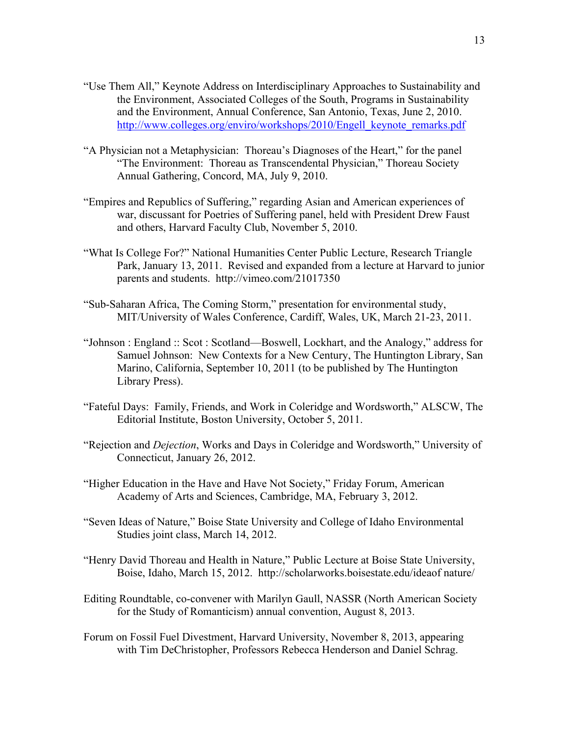- "Use Them All," Keynote Address on Interdisciplinary Approaches to Sustainability and the Environment, Associated Colleges of the South, Programs in Sustainability and the Environment, Annual Conference, San Antonio, Texas, June 2, 2010. http://www.colleges.org/enviro/workshops/2010/Engell\_keynote\_remarks.pdf
- "A Physician not a Metaphysician: Thoreau's Diagnoses of the Heart," for the panel "The Environment: Thoreau as Transcendental Physician," Thoreau Society Annual Gathering, Concord, MA, July 9, 2010.
- "Empires and Republics of Suffering," regarding Asian and American experiences of war, discussant for Poetries of Suffering panel, held with President Drew Faust and others, Harvard Faculty Club, November 5, 2010.
- "What Is College For?" National Humanities Center Public Lecture, Research Triangle Park, January 13, 2011. Revised and expanded from a lecture at Harvard to junior parents and students. http://vimeo.com/21017350
- "Sub-Saharan Africa, The Coming Storm," presentation for environmental study, MIT/University of Wales Conference, Cardiff, Wales, UK, March 21-23, 2011.
- "Johnson : England :: Scot : Scotland—Boswell, Lockhart, and the Analogy," address for Samuel Johnson: New Contexts for a New Century, The Huntington Library, San Marino, California, September 10, 2011 (to be published by The Huntington Library Press).
- "Fateful Days: Family, Friends, and Work in Coleridge and Wordsworth," ALSCW, The Editorial Institute, Boston University, October 5, 2011.
- "Rejection and *Dejection*, Works and Days in Coleridge and Wordsworth," University of Connecticut, January 26, 2012.
- "Higher Education in the Have and Have Not Society," Friday Forum, American Academy of Arts and Sciences, Cambridge, MA, February 3, 2012.
- "Seven Ideas of Nature," Boise State University and College of Idaho Environmental Studies joint class, March 14, 2012.
- "Henry David Thoreau and Health in Nature," Public Lecture at Boise State University, Boise, Idaho, March 15, 2012. http://scholarworks.boisestate.edu/ideaof nature/
- Editing Roundtable, co-convener with Marilyn Gaull, NASSR (North American Society for the Study of Romanticism) annual convention, August 8, 2013.
- Forum on Fossil Fuel Divestment, Harvard University, November 8, 2013, appearing with Tim DeChristopher, Professors Rebecca Henderson and Daniel Schrag.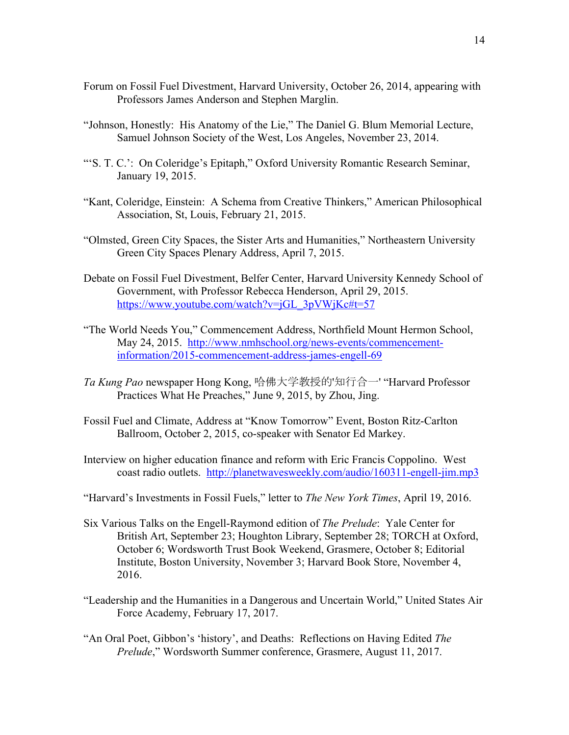- Forum on Fossil Fuel Divestment, Harvard University, October 26, 2014, appearing with Professors James Anderson and Stephen Marglin.
- "Johnson, Honestly: His Anatomy of the Lie," The Daniel G. Blum Memorial Lecture, Samuel Johnson Society of the West, Los Angeles, November 23, 2014.
- "'S. T. C.': On Coleridge's Epitaph," Oxford University Romantic Research Seminar, January 19, 2015.
- "Kant, Coleridge, Einstein: A Schema from Creative Thinkers," American Philosophical Association, St, Louis, February 21, 2015.
- "Olmsted, Green City Spaces, the Sister Arts and Humanities," Northeastern University Green City Spaces Plenary Address, April 7, 2015.
- Debate on Fossil Fuel Divestment, Belfer Center, Harvard University Kennedy School of Government, with Professor Rebecca Henderson, April 29, 2015. https://www.youtube.com/watch?v=jGL\_3pVWjKc#t=57
- "The World Needs You," Commencement Address, Northfield Mount Hermon School, May 24, 2015. http://www.nmhschool.org/news-events/commencementinformation/2015-commencement-address-james-engell-69
- *Ta Kung Pao* newspaper Hong Kong, 哈佛大学教授的'知行合一' "Harvard Professor Practices What He Preaches," June 9, 2015, by Zhou, Jing.
- Fossil Fuel and Climate, Address at "Know Tomorrow" Event, Boston Ritz-Carlton Ballroom, October 2, 2015, co-speaker with Senator Ed Markey.
- Interview on higher education finance and reform with Eric Francis Coppolino. West coast radio outlets. http://planetwavesweekly.com/audio/160311-engell-jim.mp3
- "Harvard's Investments in Fossil Fuels," letter to *The New York Times*, April 19, 2016.
- Six Various Talks on the Engell-Raymond edition of *The Prelude*: Yale Center for British Art, September 23; Houghton Library, September 28; TORCH at Oxford, October 6; Wordsworth Trust Book Weekend, Grasmere, October 8; Editorial Institute, Boston University, November 3; Harvard Book Store, November 4, 2016.
- "Leadership and the Humanities in a Dangerous and Uncertain World," United States Air Force Academy, February 17, 2017.
- "An Oral Poet, Gibbon's 'history', and Deaths: Reflections on Having Edited *The Prelude*," Wordsworth Summer conference, Grasmere, August 11, 2017.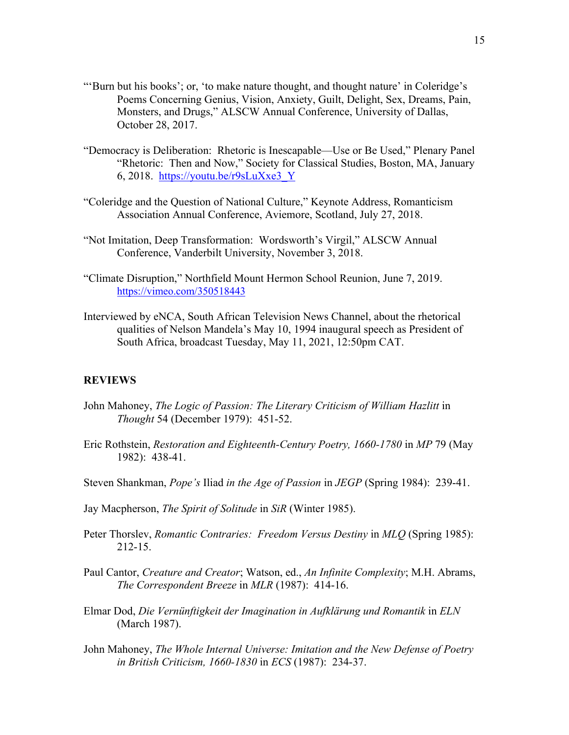- "'Burn but his books'; or, 'to make nature thought, and thought nature' in Coleridge's Poems Concerning Genius, Vision, Anxiety, Guilt, Delight, Sex, Dreams, Pain, Monsters, and Drugs," ALSCW Annual Conference, University of Dallas, October 28, 2017.
- "Democracy is Deliberation: Rhetoric is Inescapable—Use or Be Used," Plenary Panel "Rhetoric: Then and Now," Society for Classical Studies, Boston, MA, January 6, 2018. https://youtu.be/r9sLuXxe3\_Y
- "Coleridge and the Question of National Culture," Keynote Address, Romanticism Association Annual Conference, Aviemore, Scotland, July 27, 2018.
- "Not Imitation, Deep Transformation: Wordsworth's Virgil," ALSCW Annual Conference, Vanderbilt University, November 3, 2018.
- "Climate Disruption," Northfield Mount Hermon School Reunion, June 7, 2019. https://vimeo.com/350518443
- Interviewed by eNCA, South African Television News Channel, about the rhetorical qualities of Nelson Mandela's May 10, 1994 inaugural speech as President of South Africa, broadcast Tuesday, May 11, 2021, 12:50pm CAT.

#### **REVIEWS**

- John Mahoney, *The Logic of Passion: The Literary Criticism of William Hazlitt* in *Thought* 54 (December 1979): 451-52.
- Eric Rothstein, *Restoration and Eighteenth-Century Poetry, 1660-1780* in *MP* 79 (May 1982): 438-41.
- Steven Shankman, *Pope's* Iliad *in the Age of Passion* in *JEGP* (Spring 1984): 239-41.
- Jay Macpherson, *The Spirit of Solitude* in *SiR* (Winter 1985).
- Peter Thorslev, *Romantic Contraries: Freedom Versus Destiny* in *MLQ* (Spring 1985): 212-15.
- Paul Cantor, *Creature and Creator*; Watson, ed., *An Infinite Complexity*; M.H. Abrams, *The Correspondent Breeze* in *MLR* (1987): 414-16.
- Elmar Dod, *Die Vernünftigkeit der Imagination in Aufklärung und Romantik* in *ELN* (March 1987).
- John Mahoney, *The Whole Internal Universe: Imitation and the New Defense of Poetry in British Criticism, 1660-1830* in *ECS* (1987): 234-37.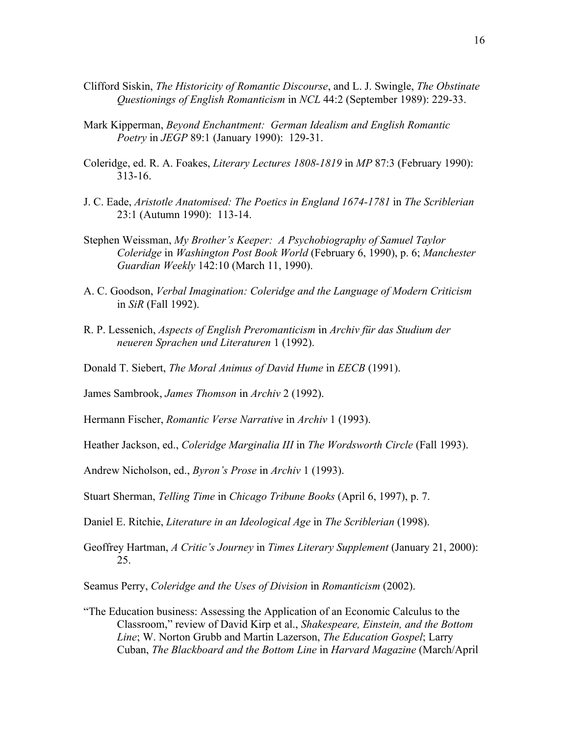- Clifford Siskin, *The Historicity of Romantic Discourse*, and L. J. Swingle, *The Obstinate Questionings of English Romanticism* in *NCL* 44:2 (September 1989): 229-33.
- Mark Kipperman, *Beyond Enchantment: German Idealism and English Romantic Poetry* in *JEGP* 89:1 (January 1990): 129-31.
- Coleridge, ed. R. A. Foakes, *Literary Lectures 1808-1819* in *MP* 87:3 (February 1990): 313-16.
- J. C. Eade, *Aristotle Anatomised: The Poetics in England 1674-1781* in *The Scriblerian* 23:1 (Autumn 1990): 113-14.
- Stephen Weissman, *My Brother's Keeper: A Psychobiography of Samuel Taylor Coleridge* in *Washington Post Book World* (February 6, 1990), p. 6; *Manchester Guardian Weekly* 142:10 (March 11, 1990).
- A. C. Goodson, *Verbal Imagination: Coleridge and the Language of Modern Criticism* in *SiR* (Fall 1992).
- R. P. Lessenich, *Aspects of English Preromanticism* in *Archiv für das Studium der neueren Sprachen und Literaturen* 1 (1992).
- Donald T. Siebert, *The Moral Animus of David Hume* in *EECB* (1991).
- James Sambrook, *James Thomson* in *Archiv* 2 (1992).
- Hermann Fischer, *Romantic Verse Narrative* in *Archiv* 1 (1993).
- Heather Jackson, ed., *Coleridge Marginalia III* in *The Wordsworth Circle* (Fall 1993).
- Andrew Nicholson, ed., *Byron's Prose* in *Archiv* 1 (1993).
- Stuart Sherman, *Telling Time* in *Chicago Tribune Books* (April 6, 1997), p. 7.
- Daniel E. Ritchie, *Literature in an Ideological Age* in *The Scriblerian* (1998).
- Geoffrey Hartman, *A Critic's Journey* in *Times Literary Supplement* (January 21, 2000): 25.

Seamus Perry, *Coleridge and the Uses of Division* in *Romanticism* (2002).

"The Education business: Assessing the Application of an Economic Calculus to the Classroom," review of David Kirp et al., *Shakespeare, Einstein, and the Bottom Line*; W. Norton Grubb and Martin Lazerson, *The Education Gospel*; Larry Cuban, *The Blackboard and the Bottom Line* in *Harvard Magazine* (March/April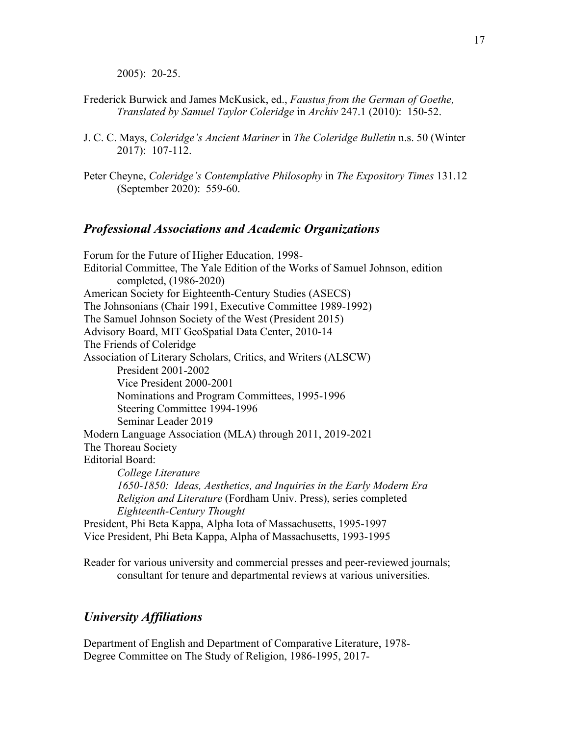2005): 20-25.

- Frederick Burwick and James McKusick, ed., *Faustus from the German of Goethe, Translated by Samuel Taylor Coleridge* in *Archiv* 247.1 (2010): 150-52.
- J. C. C. Mays, *Coleridge's Ancient Mariner* in *The Coleridge Bulletin* n.s. 50 (Winter 2017): 107-112.
- Peter Cheyne, *Coleridge's Contemplative Philosophy* in *The Expository Times* 131.12 (September 2020): 559-60.

### *Professional Associations and Academic Organizations*

Forum for the Future of Higher Education, 1998- Editorial Committee, The Yale Edition of the Works of Samuel Johnson, edition completed, (1986-2020) American Society for Eighteenth-Century Studies (ASECS) The Johnsonians (Chair 1991, Executive Committee 1989-1992) The Samuel Johnson Society of the West (President 2015) Advisory Board, MIT GeoSpatial Data Center, 2010-14 The Friends of Coleridge Association of Literary Scholars, Critics, and Writers (ALSCW) President 2001-2002 Vice President 2000-2001 Nominations and Program Committees, 1995-1996 Steering Committee 1994-1996 Seminar Leader 2019 Modern Language Association (MLA) through 2011, 2019-2021 The Thoreau Society Editorial Board: *College Literature 1650-1850: Ideas, Aesthetics, and Inquiries in the Early Modern Era Religion and Literature* (Fordham Univ. Press), series completed *Eighteenth-Century Thought* President, Phi Beta Kappa, Alpha Iota of Massachusetts, 1995-1997 Vice President, Phi Beta Kappa, Alpha of Massachusetts, 1993-1995

Reader for various university and commercial presses and peer-reviewed journals; consultant for tenure and departmental reviews at various universities.

### *University Affiliations*

Department of English and Department of Comparative Literature, 1978- Degree Committee on The Study of Religion, 1986-1995, 2017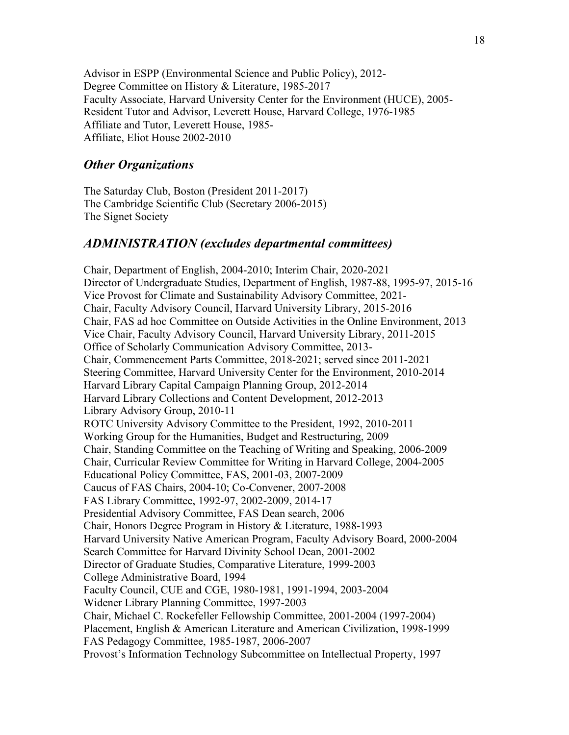Advisor in ESPP (Environmental Science and Public Policy), 2012- Degree Committee on History & Literature, 1985-2017 Faculty Associate, Harvard University Center for the Environment (HUCE), 2005- Resident Tutor and Advisor, Leverett House, Harvard College, 1976-1985 Affiliate and Tutor, Leverett House, 1985- Affiliate, Eliot House 2002-2010

### *Other Organizations*

The Saturday Club, Boston (President 2011-2017) The Cambridge Scientific Club (Secretary 2006-2015) The Signet Society

### *ADMINISTRATION (excludes departmental committees)*

Chair, Department of English, 2004-2010; Interim Chair, 2020-2021 Director of Undergraduate Studies, Department of English, 1987-88, 1995-97, 2015-16 Vice Provost for Climate and Sustainability Advisory Committee, 2021- Chair, Faculty Advisory Council, Harvard University Library, 2015-2016 Chair, FAS ad hoc Committee on Outside Activities in the Online Environment, 2013 Vice Chair, Faculty Advisory Council, Harvard University Library, 2011-2015 Office of Scholarly Communication Advisory Committee, 2013- Chair, Commencement Parts Committee, 2018-2021; served since 2011-2021 Steering Committee, Harvard University Center for the Environment, 2010-2014 Harvard Library Capital Campaign Planning Group, 2012-2014 Harvard Library Collections and Content Development, 2012-2013 Library Advisory Group, 2010-11 ROTC University Advisory Committee to the President, 1992, 2010-2011 Working Group for the Humanities, Budget and Restructuring, 2009 Chair, Standing Committee on the Teaching of Writing and Speaking, 2006-2009 Chair, Curricular Review Committee for Writing in Harvard College, 2004-2005 Educational Policy Committee, FAS, 2001-03, 2007-2009 Caucus of FAS Chairs, 2004-10; Co-Convener, 2007-2008 FAS Library Committee, 1992-97, 2002-2009, 2014-17 Presidential Advisory Committee, FAS Dean search, 2006 Chair, Honors Degree Program in History & Literature, 1988-1993 Harvard University Native American Program, Faculty Advisory Board, 2000-2004 Search Committee for Harvard Divinity School Dean, 2001-2002 Director of Graduate Studies, Comparative Literature, 1999-2003 College Administrative Board, 1994 Faculty Council, CUE and CGE, 1980-1981, 1991-1994, 2003-2004 Widener Library Planning Committee, 1997-2003 Chair, Michael C. Rockefeller Fellowship Committee, 2001-2004 (1997-2004) Placement, English & American Literature and American Civilization, 1998-1999 FAS Pedagogy Committee, 1985-1987, 2006-2007 Provost's Information Technology Subcommittee on Intellectual Property, 1997